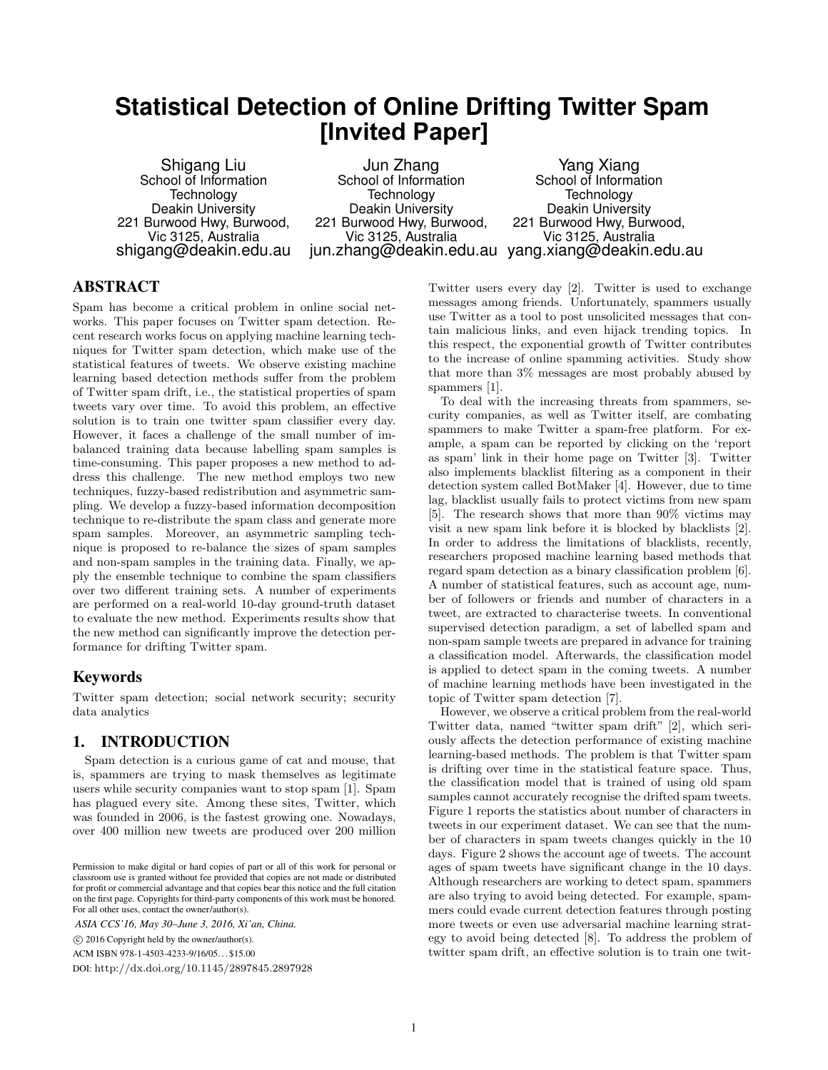# **Statistical Detection of Online Drifting Twitter Spam [Invited Paper]**

Shigang Liu School of Information Technology Deakin University 221 Burwood Hwy, Burwood, Vic 3125, Australia shigang@deakin.edu.au

Jun Zhang School of Information Technology Deakin University 221 Burwood Hwy, Burwood, Vic 3125, Australia jun.zhang@deakin.edu.au yang.xiang@deakin.edu.au

Yang Xiang School of Information Technology Deakin University 221 Burwood Hwy, Burwood, Vic 3125, Australia

# ABSTRACT

Spam has become a critical problem in online social networks. This paper focuses on Twitter spam detection. Recent research works focus on applying machine learning techniques for Twitter spam detection, which make use of the statistical features of tweets. We observe existing machine learning based detection methods suffer from the problem of Twitter spam drift, i.e., the statistical properties of spam tweets vary over time. To avoid this problem, an effective solution is to train one twitter spam classifier every day. However, it faces a challenge of the small number of imbalanced training data because labelling spam samples is time-consuming. This paper proposes a new method to address this challenge. The new method employs two new techniques, fuzzy-based redistribution and asymmetric sampling. We develop a fuzzy-based information decomposition technique to re-distribute the spam class and generate more spam samples. Moreover, an asymmetric sampling technique is proposed to re-balance the sizes of spam samples and non-spam samples in the training data. Finally, we apply the ensemble technique to combine the spam classifiers over two different training sets. A number of experiments are performed on a real-world 10-day ground-truth dataset to evaluate the new method. Experiments results show that the new method can significantly improve the detection performance for drifting Twitter spam.

# Keywords

Twitter spam detection; social network security; security data analytics

# 1. INTRODUCTION

Spam detection is a curious game of cat and mouse, that is, spammers are trying to mask themselves as legitimate users while security companies want to stop spam [1]. Spam has plagued every site. Among these sites, Twitter, which was founded in 2006, is the fastest growing one. Nowadays, over 400 million new tweets are produced over 200 million

*ASIA CCS'16, May 30–June 3, 2016, Xi'an, China.*

c 2016 Copyright held by the owner/author(s).

ACM ISBN 978-1-4503-4233-9/16/05. . . \$15.00

DOI: http://dx.doi.org/10.1145/2897845.2897928

Twitter users every day [2]. Twitter is used to exchange messages among friends. Unfortunately, spammers usually use Twitter as a tool to post unsolicited messages that contain malicious links, and even hijack trending topics. In this respect, the exponential growth of Twitter contributes to the increase of online spamming activities. Study show that more than 3% messages are most probably abused by spammers [1].

To deal with the increasing threats from spammers, security companies, as well as Twitter itself, are combating spammers to make Twitter a spam-free platform. For example, a spam can be reported by clicking on the 'report as spam' link in their home page on Twitter [3]. Twitter also implements blacklist filtering as a component in their detection system called BotMaker [4]. However, due to time lag, blacklist usually fails to protect victims from new spam [5]. The research shows that more than 90% victims may visit a new spam link before it is blocked by blacklists [2]. In order to address the limitations of blacklists, recently, researchers proposed machine learning based methods that regard spam detection as a binary classification problem [6]. A number of statistical features, such as account age, number of followers or friends and number of characters in a tweet, are extracted to characterise tweets. In conventional supervised detection paradigm, a set of labelled spam and non-spam sample tweets are prepared in advance for training a classification model. Afterwards, the classification model is applied to detect spam in the coming tweets. A number of machine learning methods have been investigated in the topic of Twitter spam detection [7].

However, we observe a critical problem from the real-world Twitter data, named "twitter spam drift" [2], which seriously affects the detection performance of existing machine learning-based methods. The problem is that Twitter spam is drifting over time in the statistical feature space. Thus, the classification model that is trained of using old spam samples cannot accurately recognise the drifted spam tweets. Figure 1 reports the statistics about number of characters in tweets in our experiment dataset. We can see that the number of characters in spam tweets changes quickly in the 10 days. Figure 2 shows the account age of tweets. The account ages of spam tweets have significant change in the 10 days. Although researchers are working to detect spam, spammers are also trying to avoid being detected. For example, spammers could evade current detection features through posting more tweets or even use adversarial machine learning strategy to avoid being detected [8]. To address the problem of twitter spam drift, an effective solution is to train one twit-

Permission to make digital or hard copies of part or all of this work for personal or classroom use is granted without fee provided that copies are not made or distributed for profit or commercial advantage and that copies bear this notice and the full citation on the first page. Copyrights for third-party components of this work must be honored. For all other uses, contact the owner/author(s).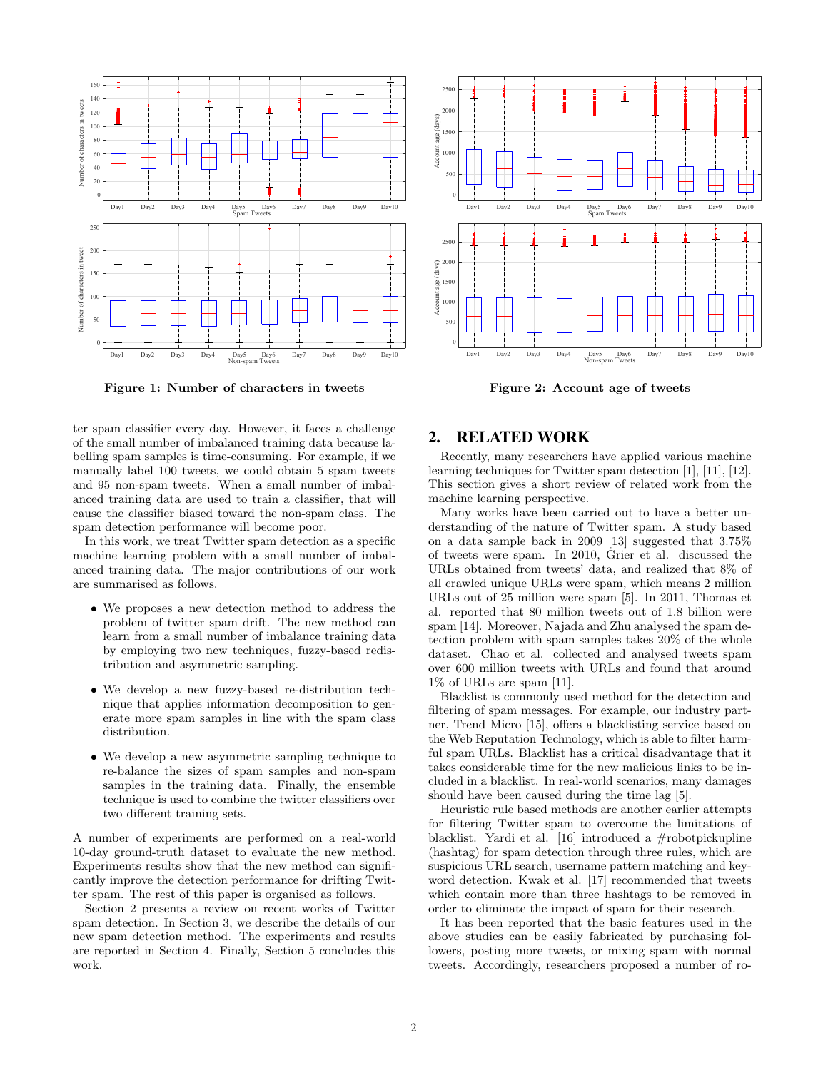

Figure 1: Number of characters in tweets

ter spam classifier every day. However, it faces a challenge of the small number of imbalanced training data because labelling spam samples is time-consuming. For example, if we manually label 100 tweets, we could obtain 5 spam tweets and 95 non-spam tweets. When a small number of imbalanced training data are used to train a classifier, that will cause the classifier biased toward the non-spam class. The spam detection performance will become poor.

In this work, we treat Twitter spam detection as a specific machine learning problem with a small number of imbalanced training data. The major contributions of our work are summarised as follows.

- We proposes a new detection method to address the problem of twitter spam drift. The new method can learn from a small number of imbalance training data by employing two new techniques, fuzzy-based redistribution and asymmetric sampling.
- We develop a new fuzzy-based re-distribution technique that applies information decomposition to generate more spam samples in line with the spam class distribution.
- We develop a new asymmetric sampling technique to re-balance the sizes of spam samples and non-spam samples in the training data. Finally, the ensemble technique is used to combine the twitter classifiers over two different training sets.

A number of experiments are performed on a real-world 10-day ground-truth dataset to evaluate the new method. Experiments results show that the new method can significantly improve the detection performance for drifting Twitter spam. The rest of this paper is organised as follows.

Section 2 presents a review on recent works of Twitter spam detection. In Section 3, we describe the details of our new spam detection method. The experiments and results are reported in Section 4. Finally, Section 5 concludes this work.



Figure 2: Account age of tweets

# 2. RELATED WORK

Recently, many researchers have applied various machine learning techniques for Twitter spam detection [1], [11], [12]. This section gives a short review of related work from the machine learning perspective.

Many works have been carried out to have a better understanding of the nature of Twitter spam. A study based on a data sample back in 2009 [13] suggested that 3.75% of tweets were spam. In 2010, Grier et al. discussed the URLs obtained from tweets' data, and realized that 8% of all crawled unique URLs were spam, which means 2 million URLs out of 25 million were spam [5]. In 2011, Thomas et al. reported that 80 million tweets out of 1.8 billion were spam [14]. Moreover, Najada and Zhu analysed the spam detection problem with spam samples takes 20% of the whole dataset. Chao et al. collected and analysed tweets spam over 600 million tweets with URLs and found that around 1% of URLs are spam [11].

Blacklist is commonly used method for the detection and filtering of spam messages. For example, our industry partner, Trend Micro [15], offers a blacklisting service based on the Web Reputation Technology, which is able to filter harmful spam URLs. Blacklist has a critical disadvantage that it takes considerable time for the new malicious links to be included in a blacklist. In real-world scenarios, many damages should have been caused during the time lag [5].

Heuristic rule based methods are another earlier attempts for filtering Twitter spam to overcome the limitations of blacklist. Yardi et al. [16] introduced a #robotpickupline (hashtag) for spam detection through three rules, which are suspicious URL search, username pattern matching and keyword detection. Kwak et al. [17] recommended that tweets which contain more than three hashtags to be removed in order to eliminate the impact of spam for their research.

It has been reported that the basic features used in the above studies can be easily fabricated by purchasing followers, posting more tweets, or mixing spam with normal tweets. Accordingly, researchers proposed a number of ro-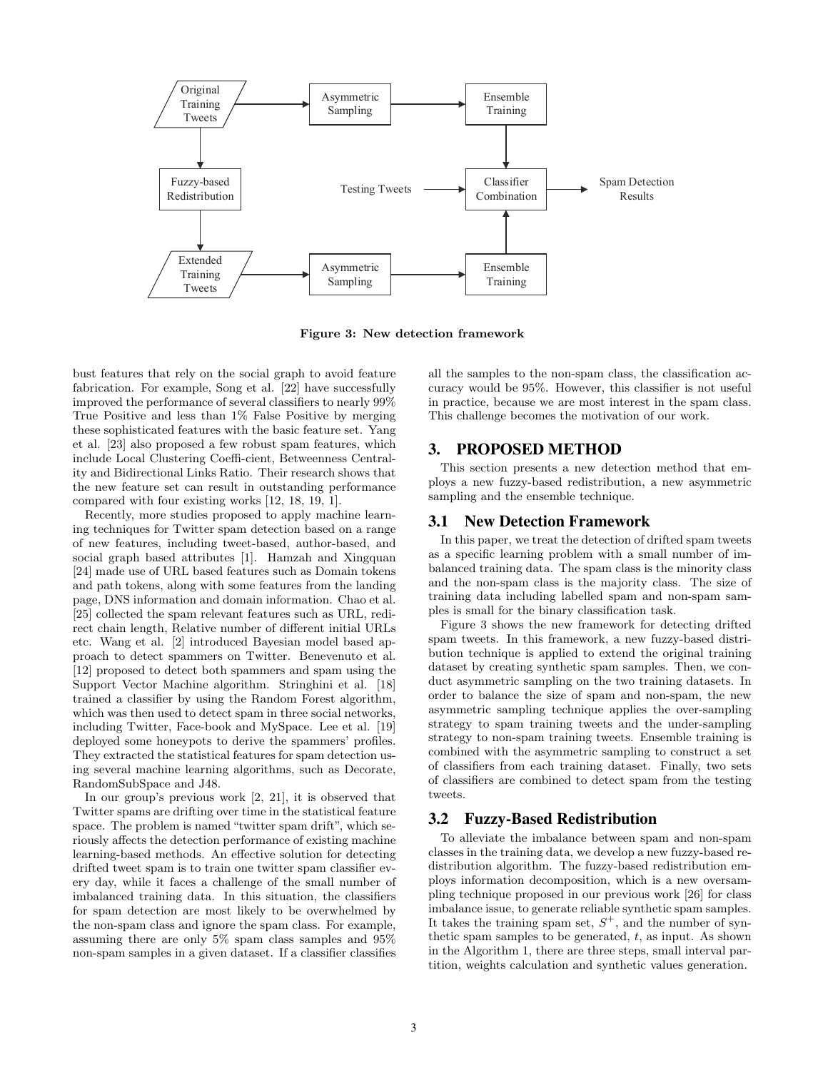

Figure 3: New detection framework

bust features that rely on the social graph to avoid feature fabrication. For example, Song et al. [22] have successfully improved the performance of several classifiers to nearly 99% True Positive and less than 1% False Positive by merging these sophisticated features with the basic feature set. Yang et al. [23] also proposed a few robust spam features, which include Local Clustering Coeffi-cient, Betweenness Centrality and Bidirectional Links Ratio. Their research shows that the new feature set can result in outstanding performance compared with four existing works [12, 18, 19, 1].

Recently, more studies proposed to apply machine learning techniques for Twitter spam detection based on a range of new features, including tweet-based, author-based, and social graph based attributes [1]. Hamzah and Xingquan [24] made use of URL based features such as Domain tokens and path tokens, along with some features from the landing page, DNS information and domain information. Chao et al. [25] collected the spam relevant features such as URL, redirect chain length, Relative number of different initial URLs etc. Wang et al. [2] introduced Bayesian model based approach to detect spammers on Twitter. Benevenuto et al. [12] proposed to detect both spammers and spam using the Support Vector Machine algorithm. Stringhini et al. [18] trained a classifier by using the Random Forest algorithm, which was then used to detect spam in three social networks, including Twitter, Face-book and MySpace. Lee et al. [19] deployed some honeypots to derive the spammers' profiles. They extracted the statistical features for spam detection using several machine learning algorithms, such as Decorate, RandomSubSpace and J48.

In our group's previous work [2, 21], it is observed that Twitter spams are drifting over time in the statistical feature space. The problem is named "twitter spam drift", which seriously affects the detection performance of existing machine learning-based methods. An effective solution for detecting drifted tweet spam is to train one twitter spam classifier every day, while it faces a challenge of the small number of imbalanced training data. In this situation, the classifiers for spam detection are most likely to be overwhelmed by the non-spam class and ignore the spam class. For example, assuming there are only 5% spam class samples and 95% non-spam samples in a given dataset. If a classifier classifies

all the samples to the non-spam class, the classification accuracy would be 95%. However, this classifier is not useful in practice, because we are most interest in the spam class. This challenge becomes the motivation of our work.

# 3. PROPOSED METHOD

This section presents a new detection method that employs a new fuzzy-based redistribution, a new asymmetric sampling and the ensemble technique.

## 3.1 New Detection Framework

In this paper, we treat the detection of drifted spam tweets as a specific learning problem with a small number of imbalanced training data. The spam class is the minority class and the non-spam class is the majority class. The size of training data including labelled spam and non-spam samples is small for the binary classification task.

Figure 3 shows the new framework for detecting drifted spam tweets. In this framework, a new fuzzy-based distribution technique is applied to extend the original training dataset by creating synthetic spam samples. Then, we conduct asymmetric sampling on the two training datasets. In order to balance the size of spam and non-spam, the new asymmetric sampling technique applies the over-sampling strategy to spam training tweets and the under-sampling strategy to non-spam training tweets. Ensemble training is combined with the asymmetric sampling to construct a set of classifiers from each training dataset. Finally, two sets of classifiers are combined to detect spam from the testing tweets.

## 3.2 Fuzzy-Based Redistribution

To alleviate the imbalance between spam and non-spam classes in the training data, we develop a new fuzzy-based redistribution algorithm. The fuzzy-based redistribution employs information decomposition, which is a new oversampling technique proposed in our previous work [26] for class imbalance issue, to generate reliable synthetic spam samples. It takes the training spam set,  $S^+$ , and the number of synthetic spam samples to be generated,  $t$ , as input. As shown in the Algorithm 1, there are three steps, small interval partition, weights calculation and synthetic values generation.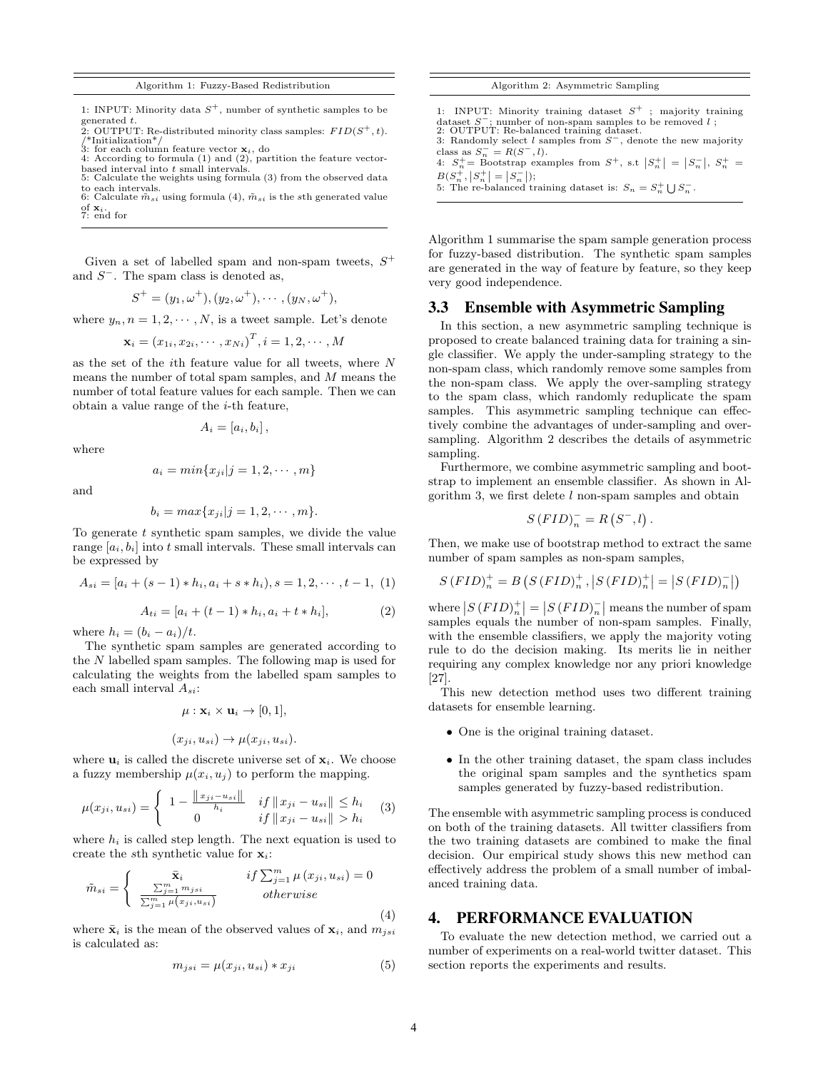Algorithm 1: Fuzzy-Based Redistribution

1: INPUT: Minority data  $S^+$ , number of synthetic samples to be generated t.<br>2: OUTPUT: Re-distributed minority class samples:  $FID(S^+, t)$ .

- /\*Initialization\*/ 3: for each column feature vector xi, do 4: According to formula (1) and (2), partition the feature vector-
- 
- based interval into t small intervals. 5: Calculate the weights using formula (3) from the observed data to each intervals.<br>6: Calculate  $\tilde{m}_{si}$  using formula (4),  $\tilde{m}_{si}$  is the  $s$ th generated value
- of  $\mathbf{x}_i$ .<br>7: end for
- 

Given a set of labelled spam and non-spam tweets,  $S^+$ and  $S^-$ . The spam class is denoted as,

$$
S^+ = (y_1, \omega^+), (y_2, \omega^+), \cdots, (y_N, \omega^+),
$$

where  $y_n, n = 1, 2, \dots, N$ , is a tweet sample. Let's denote

$$
\mathbf{x}_i = (x_{1i}, x_{2i}, \cdots, x_{Ni})^T, i = 1, 2, \cdots, M
$$

as the set of the ith feature value for all tweets, where N means the number of total spam samples, and M means the number of total feature values for each sample. Then we can obtain a value range of the i-th feature,

$$
A_i = [a_i, b_i],
$$

where

$$
a_i = min\{x_{ji}|j=1,2,\cdots,m\}
$$

and

$$
b_i = max\{x_{ji}|j=1,2,\cdots,m\}.
$$

To generate  $t$  synthetic spam samples, we divide the value range  $[a_i, b_i]$  into t small intervals. These small intervals can be expressed by

$$
A_{si} = [a_i + (s - 1) * h_i, a_i + s * h_i], s = 1, 2, \dots, t - 1, (1)
$$

$$
A_{ti} = [a_i + (t-1) * h_i, a_i + t * h_i],
$$
\n(2)

where  $h_i = (b_i - a_i)/t$ .

The synthetic spam samples are generated according to the N labelled spam samples. The following map is used for calculating the weights from the labelled spam samples to each small interval  $A_{si}$ :

$$
\mu: \mathbf{x}_i \times \mathbf{u}_i \to [0, 1],
$$
  

$$
(x_{ji}, u_{si}) \to \mu(x_{ji}, u_{si}).
$$

where  $\mathbf{u}_i$  is called the discrete universe set of  $\mathbf{x}_i$ . We choose a fuzzy membership  $\mu(x_i, u_j)$  to perform the mapping.

$$
\mu(x_{ji}, u_{si}) = \begin{cases} 1 - \frac{\|x_{ji} - u_{si}\|}{h_i} & if \|x_{ji} - u_{si}\| \le h_i \\ 0 & if \|x_{ji} - u_{si}\| > h_i \end{cases}
$$
 (3)

where  $h_i$  is called step length. The next equation is used to create the sth synthetic value for  $x_i$ :

$$
\tilde{m}_{si} = \begin{cases}\n\bar{\mathbf{x}}_i & if \sum_{j=1}^m \mu(x_{ji}, u_{si}) = 0 \\
\frac{\sum_{j=1}^m m_{jsi}}{\sum_{j=1}^m \mu(x_{ji}, u_{si})} & otherwise\n\end{cases}
$$
\n(4)

where  $\bar{\mathbf{x}}_i$  is the mean of the observed values of  $\mathbf{x}_i$ , and  $m_{isi}$ is calculated as:

$$
m_{jsi} = \mu(x_{ji}, u_{si}) * x_{ji}
$$
\n<sup>(5)</sup>

Algorithm 2: Asymmetric Sampling

- 1: INPUT: Minority training dataset  $S^+$ majority training dataset S<sup>−</sup>; number of non-spam samples to be removed *l*;<br>2: OUTPUT: Re-balanced training dataset.
- 3: Randomly select l samples from  $S^-$ , denote the new majority class as  $S_n^- = R(S^-, l)$ . 4:  $S_n^+$  = Bootstrap examples from  $S^+$ , s.t  $|S_n^+| = |S_n^-|$ ,  $S_n^+$  =
- $B(S_n^+,\vert S_n^+\vert = \vert S_n^-\vert),$
- 5: The re-balanced training dataset is:  $S_n = S_n^+ \cup S_n^-$ .

Algorithm 1 summarise the spam sample generation process for fuzzy-based distribution. The synthetic spam samples are generated in the way of feature by feature, so they keep very good independence.

## 3.3 Ensemble with Asymmetric Sampling

In this section, a new asymmetric sampling technique is proposed to create balanced training data for training a single classifier. We apply the under-sampling strategy to the non-spam class, which randomly remove some samples from the non-spam class. We apply the over-sampling strategy to the spam class, which randomly reduplicate the spam samples. This asymmetric sampling technique can effectively combine the advantages of under-sampling and oversampling. Algorithm 2 describes the details of asymmetric sampling.

Furthermore, we combine asymmetric sampling and bootstrap to implement an ensemble classifier. As shown in Algorithm 3, we first delete  $l$  non-spam samples and obtain

$$
S(FID)^{-}_{n} = R(S^{-}, l)
$$

.

Then, we make use of bootstrap method to extract the same number of spam samples as non-spam samples,

$$
S(FID)^{+}_{n} = B(S(FID)^{+}_{n}, |S(FID)^{+}_{n}| = |S(FID)^{-}_{n}|)
$$

where  $|S(FID)^+_n| = |S(FID)^-_n|$  means the number of spam samples equals the number of non-spam samples. Finally, with the ensemble classifiers, we apply the majority voting rule to do the decision making. Its merits lie in neither requiring any complex knowledge nor any priori knowledge [27].

This new detection method uses two different training datasets for ensemble learning.

- One is the original training dataset.
- In the other training dataset, the spam class includes the original spam samples and the synthetics spam samples generated by fuzzy-based redistribution.

The ensemble with asymmetric sampling process is conduced on both of the training datasets. All twitter classifiers from the two training datasets are combined to make the final decision. Our empirical study shows this new method can effectively address the problem of a small number of imbalanced training data.

## 4. PERFORMANCE EVALUATION

To evaluate the new detection method, we carried out a number of experiments on a real-world twitter dataset. This section reports the experiments and results.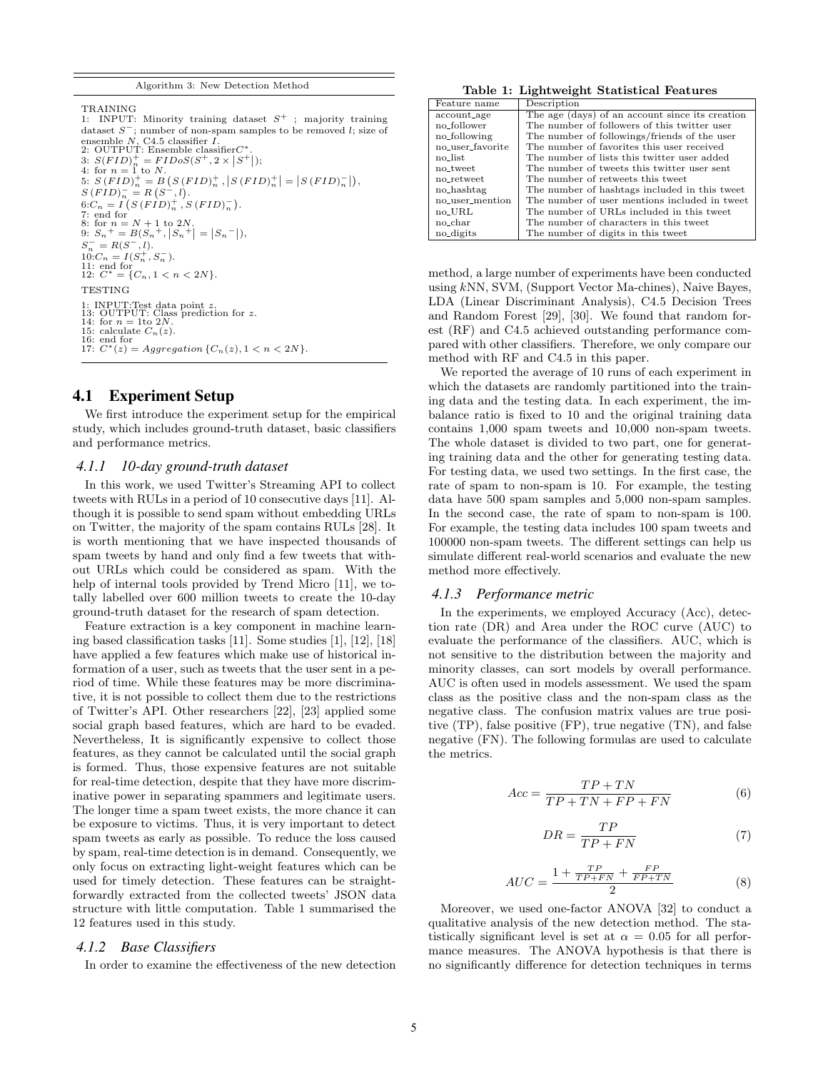```
Algorithm 3: New Detection Method
```
TRAINING

1: INPUT: Minority training dataset  $S^+$ ; majority training dataset  $S^-$ ; number of non-spam samples to be removed l; size of ensemble N, C4.5 classifier *I*.<br>2: OUTPUT: Ensemble classifierC<sup>\*</sup> 2: OUTPUT: Ensemble classifier  $C^*$ .<br>3:  $S(FID)^+_n = FIDoS(S^+, 2 \times |S^+|);$ <br>4: for  $n = 1$  to N. 5:  $S (FID)^+_{n} = B (S (FID)^+_{n}, |S (FID)^+_{n}| = |S (FID)^-_{n}|),$  $S(FID)^{-}_{n} = R(S^{-}, l).$  $6:C_n = I(S(FID)_n^+, S(FID)_n^-).$  $T: \text{end for } n = N + 1 \text{ to } 2N.$ <br>
8: for  $n = N + 1 \text{ to } 2N.$ <br>
9:  $S_n^+ = B(S_n^+, |S_n^+| = |S_n^-|),$  $S_n^- = R(S^-, l).$  $10.C_n = I(S_n^+, S_n^-).$ 11: end for  $12: C^* = \{C_n, 1 < n < 2N\}.$ **TESTING** 1: INPUT: Test data point z.<br>13: OUTPUT: Class prediction for z.<br>14: for  $n = 1$ to 2N. 15: calculate  $C_n(z)$ . 16: end for 17:  $C^*(z) = Aggregation \{C_n(z), 1 < n < 2N\}.$ 

## 4.1 Experiment Setup

We first introduce the experiment setup for the empirical study, which includes ground-truth dataset, basic classifiers and performance metrics.

#### *4.1.1 10-day ground-truth dataset*

In this work, we used Twitter's Streaming API to collect tweets with RULs in a period of 10 consecutive days [11]. Although it is possible to send spam without embedding URLs on Twitter, the majority of the spam contains RULs [28]. It is worth mentioning that we have inspected thousands of spam tweets by hand and only find a few tweets that without URLs which could be considered as spam. With the help of internal tools provided by Trend Micro [11], we totally labelled over 600 million tweets to create the 10-day ground-truth dataset for the research of spam detection.

Feature extraction is a key component in machine learning based classification tasks [11]. Some studies [1], [12], [18] have applied a few features which make use of historical information of a user, such as tweets that the user sent in a period of time. While these features may be more discriminative, it is not possible to collect them due to the restrictions of Twitter's API. Other researchers [22], [23] applied some social graph based features, which are hard to be evaded. Nevertheless, It is significantly expensive to collect those features, as they cannot be calculated until the social graph is formed. Thus, those expensive features are not suitable for real-time detection, despite that they have more discriminative power in separating spammers and legitimate users. The longer time a spam tweet exists, the more chance it can be exposure to victims. Thus, it is very important to detect spam tweets as early as possible. To reduce the loss caused by spam, real-time detection is in demand. Consequently, we only focus on extracting light-weight features which can be used for timely detection. These features can be straightforwardly extracted from the collected tweets' JSON data structure with little computation. Table 1 summarised the 12 features used in this study.

#### *4.1.2 Base Classifiers*

In order to examine the effectiveness of the new detection

Table 1: Lightweight Statistical Features

| Feature name     | Description                                     |
|------------------|-------------------------------------------------|
| account_age      | The age (days) of an account since its creation |
| no_follower      | The number of followers of this twitter user    |
| no_following     | The number of followings/friends of the user    |
| no_user_favorite | The number of favorites this user received      |
| no_list          | The number of lists this twitter user added     |
| no_tweet         | The number of tweets this twitter user sent     |
| no_retweet       | The number of retweets this tweet               |
| no_hashtag       | The number of hashtags included in this tweet   |
| no_user_mention  | The number of user mentions included in tweet   |
| no_URL           | The number of URLs included in this tweet       |
| no_char          | The number of characters in this tweet          |
| no_digits        | The number of digits in this tweet              |

method, a large number of experiments have been conducted using kNN, SVM, (Support Vector Ma-chines), Naive Bayes, LDA (Linear Discriminant Analysis), C4.5 Decision Trees and Random Forest [29], [30]. We found that random forest (RF) and C4.5 achieved outstanding performance compared with other classifiers. Therefore, we only compare our method with RF and C4.5 in this paper.

We reported the average of 10 runs of each experiment in which the datasets are randomly partitioned into the training data and the testing data. In each experiment, the imbalance ratio is fixed to 10 and the original training data contains 1,000 spam tweets and 10,000 non-spam tweets. The whole dataset is divided to two part, one for generating training data and the other for generating testing data. For testing data, we used two settings. In the first case, the rate of spam to non-spam is 10. For example, the testing data have 500 spam samples and 5,000 non-spam samples. In the second case, the rate of spam to non-spam is 100. For example, the testing data includes 100 spam tweets and 100000 non-spam tweets. The different settings can help us simulate different real-world scenarios and evaluate the new method more effectively.

#### *4.1.3 Performance metric*

In the experiments, we employed Accuracy (Acc), detection rate (DR) and Area under the ROC curve (AUC) to evaluate the performance of the classifiers. AUC, which is not sensitive to the distribution between the majority and minority classes, can sort models by overall performance. AUC is often used in models assessment. We used the spam class as the positive class and the non-spam class as the negative class. The confusion matrix values are true positive (TP), false positive (FP), true negative (TN), and false negative (FN). The following formulas are used to calculate the metrics.

$$
Acc = \frac{TP + TN}{TP + TN + FP + FN}
$$
 (6)

$$
DR = \frac{TP}{TP + FN} \tag{7}
$$

$$
AUC = \frac{1 + \frac{TP}{TP + FN} + \frac{FP}{FP + TN}}{2} \tag{8}
$$

Moreover, we used one-factor ANOVA [32] to conduct a qualitative analysis of the new detection method. The statistically significant level is set at  $\alpha = 0.05$  for all performance measures. The ANOVA hypothesis is that there is no significantly difference for detection techniques in terms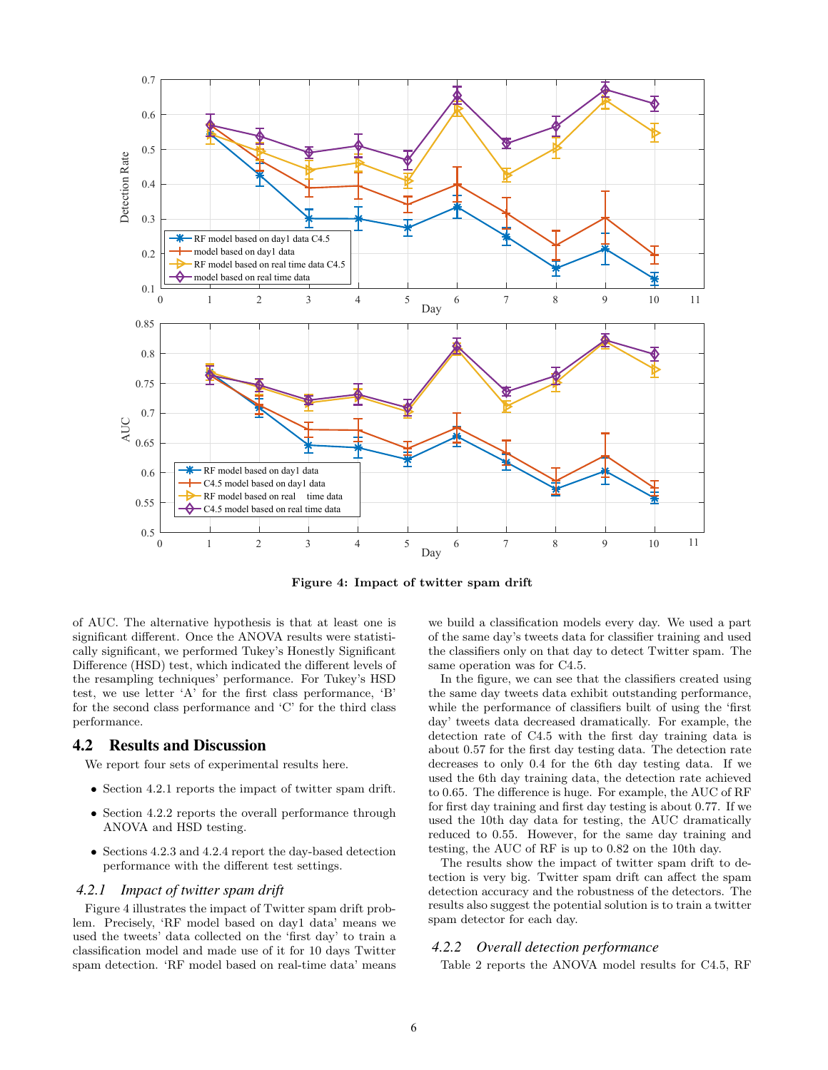

Figure 4: Impact of twitter spam drift

of AUC. The alternative hypothesis is that at least one is significant different. Once the ANOVA results were statistically significant, we performed Tukey's Honestly Significant Difference (HSD) test, which indicated the different levels of the resampling techniques' performance. For Tukey's HSD test, we use letter 'A' for the first class performance, 'B' for the second class performance and 'C' for the third class performance.

## 4.2 Results and Discussion

We report four sets of experimental results here.

- Section 4.2.1 reports the impact of twitter spam drift.
- Section 4.2.2 reports the overall performance through ANOVA and HSD testing.
- Sections 4.2.3 and 4.2.4 report the day-based detection performance with the different test settings.

#### *4.2.1 Impact of twitter spam drift*

Figure 4 illustrates the impact of Twitter spam drift problem. Precisely, 'RF model based on day1 data' means we used the tweets' data collected on the 'first day' to train a classification model and made use of it for 10 days Twitter spam detection. 'RF model based on real-time data' means we build a classification models every day. We used a part of the same day's tweets data for classifier training and used the classifiers only on that day to detect Twitter spam. The same operation was for C4.5.

In the figure, we can see that the classifiers created using the same day tweets data exhibit outstanding performance, while the performance of classifiers built of using the 'first day' tweets data decreased dramatically. For example, the detection rate of C4.5 with the first day training data is about 0.57 for the first day testing data. The detection rate decreases to only 0.4 for the 6th day testing data. If we used the 6th day training data, the detection rate achieved to 0.65. The difference is huge. For example, the AUC of RF for first day training and first day testing is about 0.77. If we used the 10th day data for testing, the AUC dramatically reduced to 0.55. However, for the same day training and testing, the AUC of RF is up to 0.82 on the 10th day.

The results show the impact of twitter spam drift to detection is very big. Twitter spam drift can affect the spam detection accuracy and the robustness of the detectors. The results also suggest the potential solution is to train a twitter spam detector for each day.

## *4.2.2 Overall detection performance*

Table 2 reports the ANOVA model results for C4.5, RF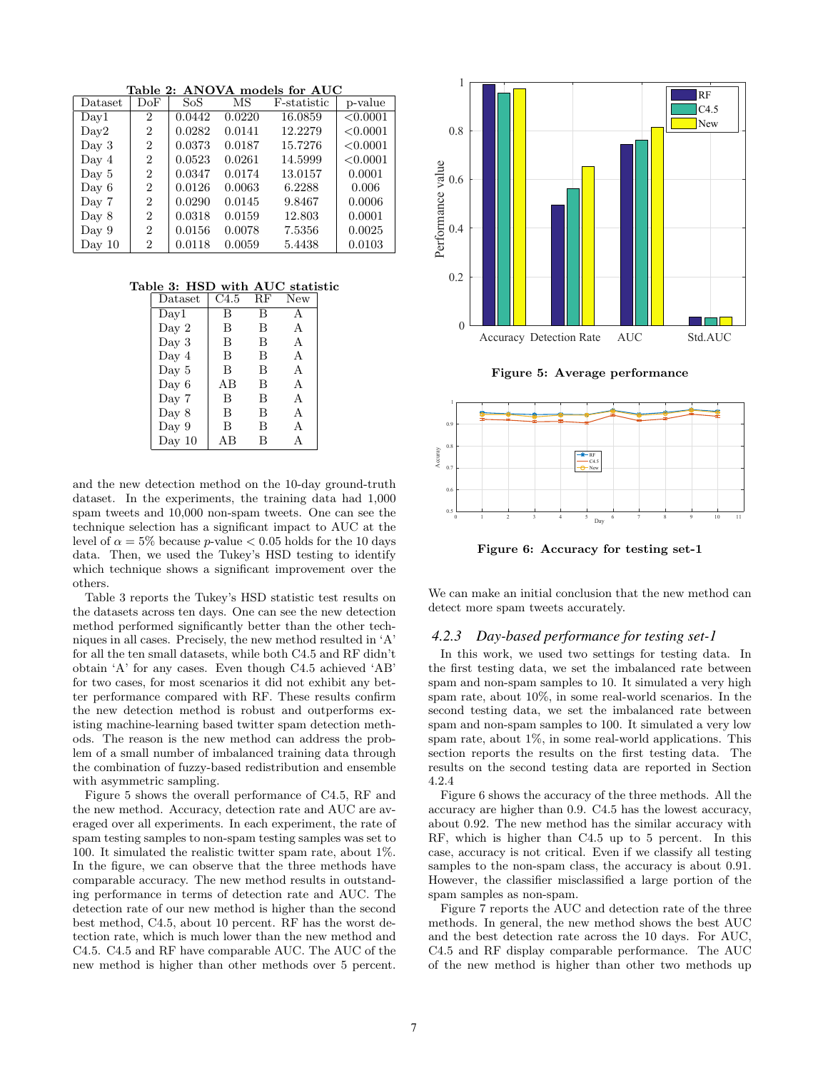Table 2: ANOVA models for AUC

| Dataset        | DoF            | SoS    | MS     | F-statistic | p-value  |
|----------------|----------------|--------|--------|-------------|----------|
| $_{\rm Dav1}$  | $\overline{2}$ | 0.0442 | 0.0220 | 16.0859     | < 0.0001 |
| $_{\rm Dav2}$  | 2              | 0.0282 | 0.0141 | 12.2279     | < 0.0001 |
| Day 3          | $\overline{2}$ | 0.0373 | 0.0187 | 15.7276     | < 0.0001 |
| Day 4          | $\overline{2}$ | 0.0523 | 0.0261 | 14.5999     | < 0.0001 |
| $_{\rm Dav}$ 5 | $\overline{2}$ | 0.0347 | 0.0174 | 13.0157     | 0.0001   |
| Day 6          | $\overline{2}$ | 0.0126 | 0.0063 | 6.2288      | 0.006    |
| Day 7          | $\overline{2}$ | 0.0290 | 0.0145 | 9.8467      | 0.0006   |
| $_{\rm Dav}$ 8 | $\overline{2}$ | 0.0318 | 0.0159 | 12.803      | 0.0001   |
| Day 9          | 2              | 0.0156 | 0.0078 | 7.5356      | 0.0025   |
| Day $10$       | 2              | 0.0118 | 0.0059 | 5.4438      | 0.0103   |

Table 3: HSD with AUC statistic

| Dataset  | C4.5 | RF | New |
|----------|------|----|-----|
| Day1     | В    | B  | A   |
| Day 2    | В    | В  | А   |
| Day $3$  | В    | В  | A   |
| Day $4$  | B    | B  | A   |
| Day $5$  | B    | В  | А   |
| Day $6$  | ΑB   | B  | A   |
| Day 7    | B    | В  | А   |
| Day 8    | B    | В  | А   |
| Day 9    | В    | В  | A   |
| Day $10$ | AΒ   | В  | А   |

and the new detection method on the 10-day ground-truth dataset. In the experiments, the training data had 1,000 spam tweets and 10,000 non-spam tweets. One can see the technique selection has a significant impact to AUC at the level of  $\alpha = 5\%$  because p-value  $< 0.05$  holds for the 10 days data. Then, we used the Tukey's HSD testing to identify which technique shows a significant improvement over the others.

Table 3 reports the Tukey's HSD statistic test results on the datasets across ten days. One can see the new detection method performed significantly better than the other techniques in all cases. Precisely, the new method resulted in 'A' for all the ten small datasets, while both C4.5 and RF didn't obtain 'A' for any cases. Even though C4.5 achieved 'AB' for two cases, for most scenarios it did not exhibit any better performance compared with RF. These results confirm the new detection method is robust and outperforms existing machine-learning based twitter spam detection methods. The reason is the new method can address the problem of a small number of imbalanced training data through the combination of fuzzy-based redistribution and ensemble with asymmetric sampling.

Figure 5 shows the overall performance of C4.5, RF and the new method. Accuracy, detection rate and AUC are averaged over all experiments. In each experiment, the rate of spam testing samples to non-spam testing samples was set to 100. It simulated the realistic twitter spam rate, about 1%. In the figure, we can observe that the three methods have comparable accuracy. The new method results in outstanding performance in terms of detection rate and AUC. The detection rate of our new method is higher than the second best method, C4.5, about 10 percent. RF has the worst detection rate, which is much lower than the new method and C4.5. C4.5 and RF have comparable AUC. The AUC of the new method is higher than other methods over 5 percent.



Figure 5: Average performance



Figure 6: Accuracy for testing set-1

We can make an initial conclusion that the new method can detect more spam tweets accurately.

# *4.2.3 Day-based performance for testing set-1*

In this work, we used two settings for testing data. In the first testing data, we set the imbalanced rate between spam and non-spam samples to 10. It simulated a very high spam rate, about 10%, in some real-world scenarios. In the second testing data, we set the imbalanced rate between spam and non-spam samples to 100. It simulated a very low spam rate, about 1%, in some real-world applications. This section reports the results on the first testing data. The results on the second testing data are reported in Section 4.2.4

Figure 6 shows the accuracy of the three methods. All the accuracy are higher than 0.9. C4.5 has the lowest accuracy, about 0.92. The new method has the similar accuracy with RF, which is higher than C4.5 up to 5 percent. In this case, accuracy is not critical. Even if we classify all testing samples to the non-spam class, the accuracy is about 0.91. However, the classifier misclassified a large portion of the spam samples as non-spam.

Figure 7 reports the AUC and detection rate of the three methods. In general, the new method shows the best AUC and the best detection rate across the 10 days. For AUC, C4.5 and RF display comparable performance. The AUC of the new method is higher than other two methods up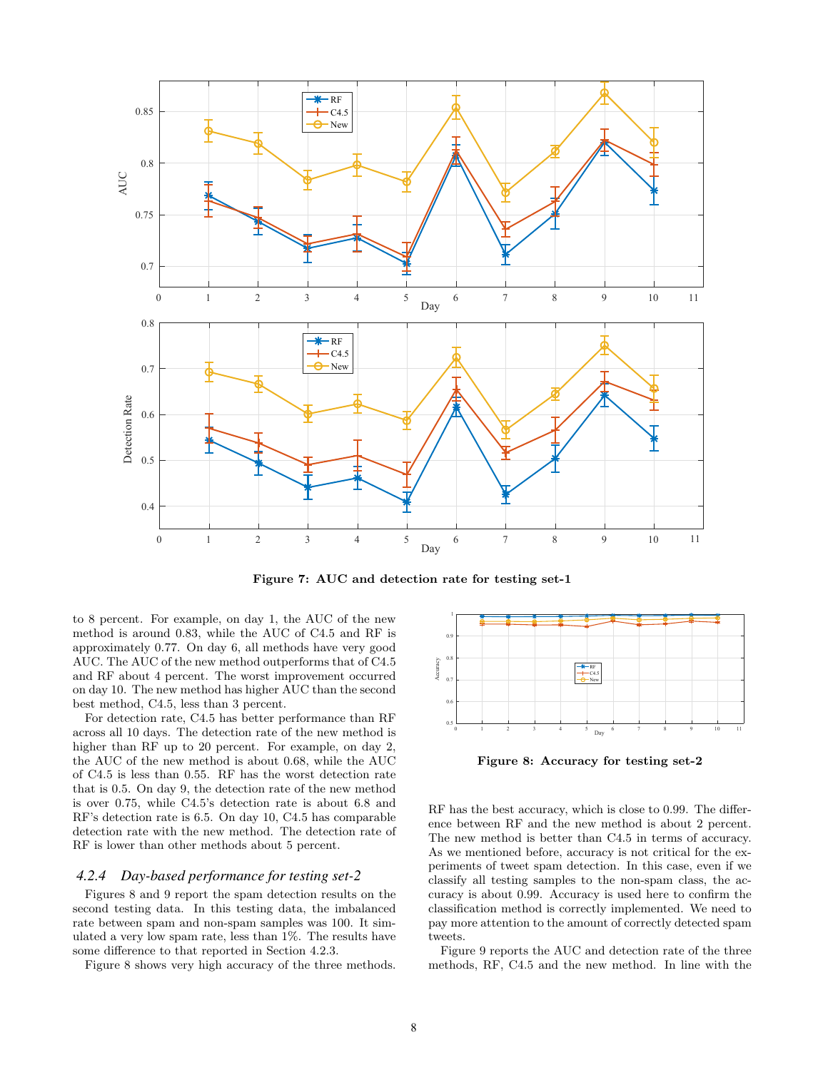

Figure 7: AUC and detection rate for testing set-1

to 8 percent. For example, on day 1, the AUC of the new method is around 0.83, while the AUC of C4.5 and RF is approximately 0.77. On day 6, all methods have very good AUC. The AUC of the new method outperforms that of C4.5 and RF about 4 percent. The worst improvement occurred on day 10. The new method has higher AUC than the second best method, C4.5, less than 3 percent.

For detection rate, C4.5 has better performance than RF across all 10 days. The detection rate of the new method is higher than RF up to 20 percent. For example, on day 2, the AUC of the new method is about 0.68, while the AUC of C4.5 is less than 0.55. RF has the worst detection rate that is 0.5. On day 9, the detection rate of the new method is over 0.75, while C4.5's detection rate is about 6.8 and RF's detection rate is 6.5. On day 10, C4.5 has comparable detection rate with the new method. The detection rate of RF is lower than other methods about 5 percent.

#### *4.2.4 Day-based performance for testing set-2*

Figures 8 and 9 report the spam detection results on the second testing data. In this testing data, the imbalanced rate between spam and non-spam samples was 100. It simulated a very low spam rate, less than 1%. The results have some difference to that reported in Section 4.2.3.

Figure 8 shows very high accuracy of the three methods.



Figure 8: Accuracy for testing set-2

RF has the best accuracy, which is close to 0.99. The difference between RF and the new method is about 2 percent. The new method is better than C4.5 in terms of accuracy. As we mentioned before, accuracy is not critical for the experiments of tweet spam detection. In this case, even if we classify all testing samples to the non-spam class, the accuracy is about 0.99. Accuracy is used here to confirm the classification method is correctly implemented. We need to pay more attention to the amount of correctly detected spam tweets.

Figure 9 reports the AUC and detection rate of the three methods, RF, C4.5 and the new method. In line with the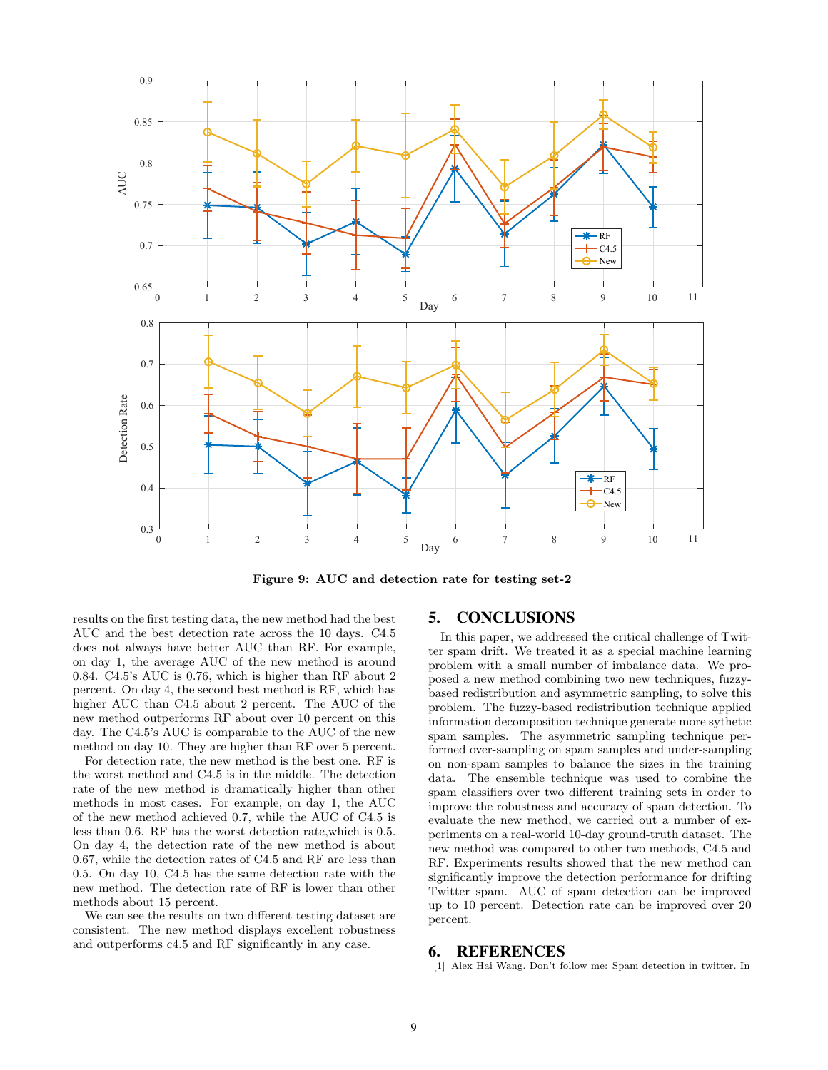

Figure 9: AUC and detection rate for testing set-2

results on the first testing data, the new method had the best AUC and the best detection rate across the 10 days. C4.5 does not always have better AUC than RF. For example, on day 1, the average AUC of the new method is around 0.84. C4.5's AUC is 0.76, which is higher than RF about 2 percent. On day 4, the second best method is RF, which has higher AUC than C4.5 about 2 percent. The AUC of the new method outperforms RF about over 10 percent on this day. The C4.5's AUC is comparable to the AUC of the new method on day 10. They are higher than RF over 5 percent.

For detection rate, the new method is the best one. RF is the worst method and C4.5 is in the middle. The detection rate of the new method is dramatically higher than other methods in most cases. For example, on day 1, the AUC of the new method achieved 0.7, while the AUC of C4.5 is less than 0.6. RF has the worst detection rate,which is 0.5. On day 4, the detection rate of the new method is about 0.67, while the detection rates of C4.5 and RF are less than 0.5. On day 10, C4.5 has the same detection rate with the new method. The detection rate of RF is lower than other methods about 15 percent.

We can see the results on two different testing dataset are consistent. The new method displays excellent robustness and outperforms c4.5 and RF significantly in any case.

# 5. CONCLUSIONS

In this paper, we addressed the critical challenge of Twitter spam drift. We treated it as a special machine learning problem with a small number of imbalance data. We proposed a new method combining two new techniques, fuzzybased redistribution and asymmetric sampling, to solve this problem. The fuzzy-based redistribution technique applied information decomposition technique generate more sythetic spam samples. The asymmetric sampling technique performed over-sampling on spam samples and under-sampling on non-spam samples to balance the sizes in the training data. The ensemble technique was used to combine the spam classifiers over two different training sets in order to improve the robustness and accuracy of spam detection. To evaluate the new method, we carried out a number of experiments on a real-world 10-day ground-truth dataset. The new method was compared to other two methods, C4.5 and RF. Experiments results showed that the new method can significantly improve the detection performance for drifting Twitter spam. AUC of spam detection can be improved up to 10 percent. Detection rate can be improved over 20 percent.

## 6. REFERENCES

[1] Alex Hai Wang. Don't follow me: Spam detection in twitter. In